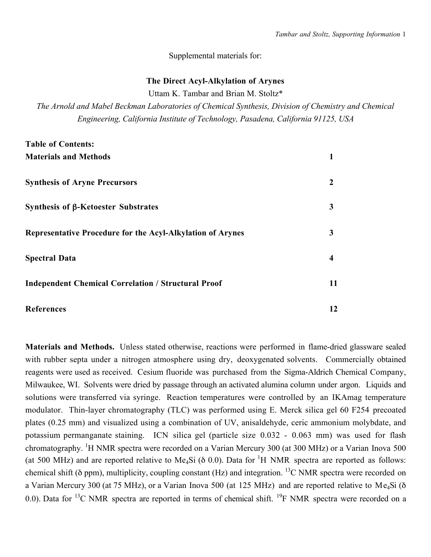# Supplemental materials for:

# The Direct Acyl-Alkylation of Arynes

Uttam K. Tambar and Brian M. Stoltz\*

*The Arnold and Mabel Beckman Laboratories of Chemical Synthesis, Division of Chemistry and Chemical Engineering, California Institute of Technology, Pasadena, California 91125, USA*

| <b>Table of Contents:</b>                                  |    |
|------------------------------------------------------------|----|
| <b>Materials and Methods</b>                               |    |
| <b>Synthesis of Aryne Precursors</b>                       | 2  |
| Synthesis of β-Ketoester Substrates                        | 3  |
| Representative Procedure for the Acyl-Alkylation of Arynes | 3  |
| <b>Spectral Data</b>                                       | 4  |
| <b>Independent Chemical Correlation / Structural Proof</b> | 11 |
| <b>References</b>                                          | 12 |

Materials and Methods. Unless stated otherwise, reactions were performed in flame-dried glassware sealed with rubber septa under a nitrogen atmosphere using dry, deoxygenated solvents. Commercially obtained reagents were used as received. Cesium fluoride was purchased from the Sigma-Aldrich Chemical Company, Milwaukee, WI. Solvents were dried by passage through an activated alumina column under argon. Liquids and solutions were transferred via syringe. Reaction temperatures were controlled by an IKAmag temperature modulator. Thin-layer chromatography (TLC) was performed using E. Merck silica gel 60 F254 precoated plates (0.25 mm) and visualized using a combination of UV, anisaldehyde, ceric ammonium molybdate, and potassium permanganate staining. ICN silica gel (particle size 0.032 - 0.063 mm) was used for flash chromatography. <sup>1</sup>H NMR spectra were recorded on a Varian Mercury 300 (at 300 MHz) or a Varian Inova 500 (at 500 MHz) and are reported relative to Me<sub>4</sub>Si ( $\delta$  0.0). Data for <sup>1</sup>H NMR spectra are reported as follows: chemical shift ( $\delta$  ppm), multiplicity, coupling constant (Hz) and integration. <sup>13</sup>C NMR spectra were recorded on a Varian Mercury 300 (at 75 MHz), or a Varian Inova 500 (at 125 MHz) and are reported relative to Me4Si (δ 0.0). Data for <sup>13</sup>C NMR spectra are reported in terms of chemical shift. <sup>19</sup>F NMR spectra were recorded on a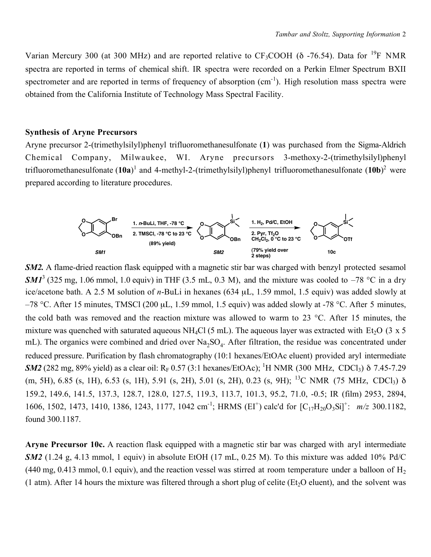Varian Mercury 300 (at 300 MHz) and are reported relative to  $CF_3COOH$  ( $\delta$  -76.54). Data for <sup>19</sup>F NMR spectra are reported in terms of chemical shift. IR spectra were recorded on a Perkin Elmer Spectrum BXII spectrometer and are reported in terms of frequency of absorption (cm<sup>-1</sup>). High resolution mass spectra were obtained from the California Institute of Technology Mass Spectral Facility.

## Synthesis of Aryne Precursors

Aryne precursor 2-(trimethylsilyl)phenyl trifluoromethanesulfonate (1) was purchased from the Sigma-Aldrich Chemical Company, Milwaukee, WI. Aryne precursors 3-methoxy-2-(trimethylsilyl)phenyl trifluoromethanesulfonate  $(10a)^1$  and 4-methyl-2-(trimethylsilyl)phenyl trifluoromethanesulfonate  $(10b)^2$  were prepared according to literature procedures.



*SM2*. A flame-dried reaction flask equipped with a magnetic stir bar was charged with benzyl protected sesamol  $SMI<sup>3</sup>$  (325 mg, 1.06 mmol, 1.0 equiv) in THF (3.5 mL, 0.3 M), and the mixture was cooled to  $-78$  °C in a dry ice/acetone bath. A 2.5 M solution of *n*-BuLi in hexanes (634 µL, 1.59 mmol, 1.5 equiv) was added slowly at –78 °C. After 15 minutes, TMSCl (200 µL, 1.59 mmol, 1.5 equiv) was added slowly at -78 °C. After 5 minutes, the cold bath was removed and the reaction mixture was allowed to warm to 23 °C. After 15 minutes, the mixture was quenched with saturated aqueous NH<sub>4</sub>Cl (5 mL). The aqueous layer was extracted with Et<sub>2</sub>O (3 x 5) mL). The organics were combined and dried over Na<sub>2</sub>SO<sub>4</sub>. After filtration, the residue was concentrated under reduced pressure. Purification by flash chromatography (10:1 hexanes/EtOAc eluent) provided aryl intermediate **SM2** (282 mg, 89% yield) as a clear oil:  $R_F$  0.57 (3:1 hexanes/EtOAc); <sup>1</sup>H NMR (300 MHz, CDCl<sub>3</sub>) δ 7.45-7.29 (m, 5H), 6.85 (s, 1H), 6.53 (s, 1H), 5.91 (s, 2H), 5.01 (s, 2H), 0.23 (s, 9H); 13C NMR (75 MHz, CDCl3) δ 159.2, 149.6, 141.5, 137.3, 128.7, 128.0, 127.5, 119.3, 113.7, 101.3, 95.2, 71.0, -0.5; IR (film) 2953, 2894, 1606, 1502, 1473, 1410, 1386, 1243, 1177, 1042 cm-1; HRMS (EI+) calc'd for [C17H20O3Si]+: *m/z* 300.1182, found 300.1187.

Aryne Precursor 10c. A reaction flask equipped with a magnetic stir bar was charged with aryl intermediate *SM2* (1.24 g, 4.13 mmol, 1 equiv) in absolute EtOH (17 mL, 0.25 M). To this mixture was added 10% Pd/C  $(440 \text{ mg}, 0.413 \text{ mmol}, 0.1 \text{ equiv})$ , and the reaction vessel was stirred at room temperature under a balloon of H<sub>2</sub> (1 atm). After 14 hours the mixture was filtered through a short plug of celite (Et<sub>2</sub>O eluent), and the solvent was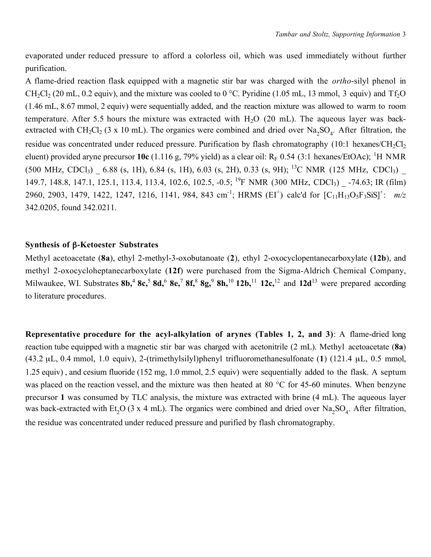evaporated under reduced pressure to afford a colorless oil, which was used immediately without further purification.

A flame-dried reaction flask equipped with a magnetic stir bar was charged with the *ortho*-silyl phenol in CH<sub>2</sub>Cl<sub>2</sub> (20 mL, 0.2 equiv), and the mixture was cooled to 0 °C. Pyridine (1.05 mL, 13 mmol, 3 equiv) and Tf<sub>2</sub>O (1.46 mL, 8.67 mmol, 2 equiv) were sequentially added, and the reaction mixture was allowed to warm to room temperature. After 5.5 hours the mixture was extracted with  $H<sub>2</sub>O$  (20 mL). The aqueous layer was backextracted with  $CH_2Cl_2$  (3 x 10 mL). The organics were combined and dried over Na<sub>2</sub>SO<sub>4</sub>. After filtration, the residue was concentrated under reduced pressure. Purification by flash chromatography (10:1 hexanes/ $CH_2Cl_2$ ) eluent) provided aryne precursor 10c (1.116 g, 79% yield) as a clear oil:  $R_F$  0.54 (3:1 hexanes/EtOAc); <sup>1</sup>H NMR  $(500 \text{ MHz}, \text{CDCl}_3)$   $-6.88$  (s, 1H), 6.84 (s, 1H), 6.03 (s, 2H), 0.33 (s, 9H); <sup>13</sup>C NMR (125 MHz, CDCl<sub>3</sub>) 149.7, 148.8, 147.1, 125.1, 113.4, 113.4, 102.6, 102.5, -0.5; <sup>19</sup>F NMR (300 MHz, CDCl<sub>3</sub>) -74.63; IR (film) 2960, 2903, 1479, 1422, 1247, 1216, 1141, 984, 843 cm-1; HRMS (EI+) calc'd for [C11H13O5F3SiS]+: *m/z* 342.0205, found 342.0211.

## Synthesis of β-Ketoester Substrates

Methyl acetoacetate (8a), ethyl 2-methyl-3-oxobutanoate (2), ethyl 2-oxocyclopentanecarboxylate (12b), and methyl 2-oxocycloheptanecarboxylate (12f) were purchased from the Sigma-Aldrich Chemical Company, Milwaukee, WI. Substrates  $8b<sup>4</sup>$ ,  $8c<sup>5</sup>$ ,  $8d<sup>6</sup>$ ,  $8e<sup>7</sup>$ ,  $8f<sup>8</sup>$ ,  $8g<sup>9</sup>$ ,  $8h<sup>10</sup>$ ,  $12b<sup>11</sup>$ ,  $12c<sup>12</sup>$ , and  $12d<sup>13</sup>$  were prepared according to literature procedures.

Representative procedure for the acyl-alkylation of arynes (Tables 1, 2, and 3): A flame-dried long reaction tube equipped with a magnetic stir bar was charged with acetonitrile (2 mL). Methyl acetoacetate (8a) (43.2 µL, 0.4 mmol, 1.0 equiv), 2-(trimethylsilyl)phenyl trifluoromethanesulfonate (1) (121.4 µL, 0.5 mmol, 1.25 equiv) , and cesium fluoride (152 mg, 1.0 mmol, 2.5 equiv) were sequentially added to the flask. A septum was placed on the reaction vessel, and the mixture was then heated at 80 °C for 45-60 minutes. When benzyne precursor 1 was consumed by TLC analysis, the mixture was extracted with brine (4 mL). The aqueous layer was back-extracted with Et<sub>2</sub>O (3 x 4 mL). The organics were combined and dried over Na<sub>2</sub>SO<sub>4</sub>. After filtration, the residue was concentrated under reduced pressure and purified by flash chromatography.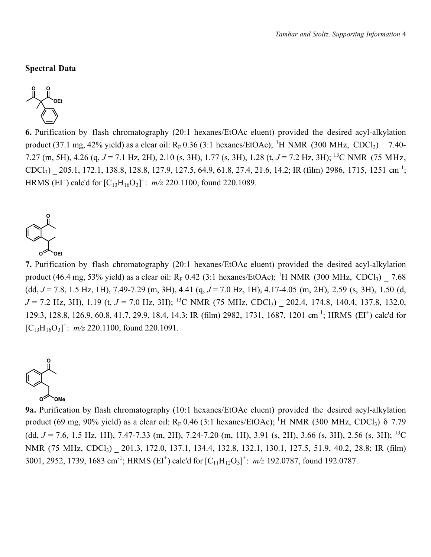#### Spectral Data



6. Purification by flash chromatography (20:1 hexanes/EtOAc eluent) provided the desired acyl-alkylation product (37.1 mg, 42% yield) as a clear oil:  $R_F$  0.36 (3:1 hexanes/EtOAc); <sup>1</sup>H NMR (300 MHz, CDCl<sub>3</sub>)  $\_$  7.40-7.27 (m, 5H), 4.26 (q, *J* = 7.1 Hz, 2H), 2.10 (s, 3H), 1.77 (s, 3H), 1.28 (t, *J* = 7.2 Hz, 3H); 13C NMR (75 MHz, CDCl3) \_ 205.1, 172.1, 138.8, 128.8, 127.9, 127.5, 64.9, 61.8, 27.4, 21.6, 14.2; IR (film) 2986, 1715, 1251 cm-1; HRMS (EI<sup>+</sup>) calc'd for  $[C_{13}H_{16}O_3]^+$ :  $m/z$  220.1100, found 220.1089.



7. Purification by flash chromatography (20:1 hexanes/EtOAc eluent) provided the desired acyl-alkylation product (46.4 mg, 53% yield) as a clear oil:  $R_F$  0.42 (3:1 hexanes/EtOAc); <sup>1</sup>H NMR (300 MHz, CDCl<sub>3</sub>)  $\_$  7.68 (dd, *J* = 7.8, 1.5 Hz, 1H), 7.49-7.29 (m, 3H), 4.41 (q, *J* = 7.0 Hz, 1H), 4.17-4.05 (m, 2H), 2.59 (s, 3H), 1.50 (d, *J* = 7.2 Hz, 3H), 1.19 (t, *J* = 7.0 Hz, 3H); <sup>13</sup>C NMR (75 MHz, CDCl<sub>3</sub>) 202.4, 174.8, 140.4, 137.8, 132.0, 129.3, 128.8, 126.9, 60.8, 41.7, 29.9, 18.4, 14.3; IR (film) 2982, 1731, 1687, 1201 cm-1; HRMS (EI+) calc'd for  $[C_{13}H_{16}O_3]^+$ :  $m/z$  220.1100, found 220.1091.



9a. Purification by flash chromatography (10:1 hexanes/EtOAc eluent) provided the desired acyl-alkylation product (69 mg, 90% yield) as a clear oil:  $R_F$  0.46 (3:1 hexanes/EtOAc); <sup>1</sup>H NMR (300 MHz, CDCl<sub>3</sub>)  $\delta$  7.79 (dd,  $J = 7.6$ , 1.5 Hz, 1H), 7.47-7.33 (m, 2H), 7.24-7.20 (m, 1H), 3.91 (s, 2H), 3.66 (s, 3H), 2.56 (s, 3H); <sup>13</sup>C NMR (75 MHz, CDCl<sub>3</sub>) \_ 201.3, 172.0, 137.1, 134.4, 132.8, 132.1, 130.1, 127.5, 51.9, 40.2, 28.8; IR (film) 3001, 2952, 1739, 1683 cm<sup>-1</sup>; HRMS (EI<sup>+</sup>) calc'd for  $[C_{11}H_{12}O_3]^+$ :  $m/z$  192.0787, found 192.0787.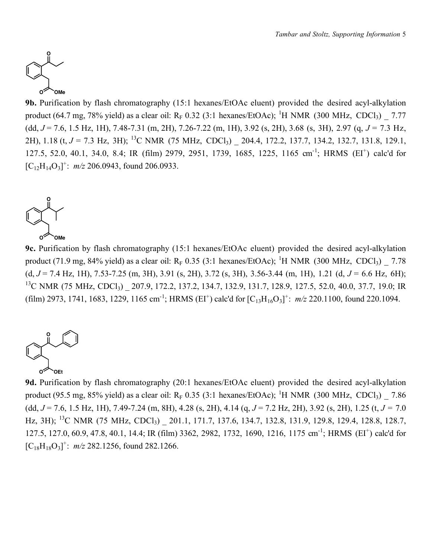

9b. Purification by flash chromatography (15:1 hexanes/EtOAc eluent) provided the desired acyl-alkylation product (64.7 mg, 78% yield) as a clear oil:  $R_F$  0.32 (3:1 hexanes/EtOAc); <sup>1</sup>H NMR (300 MHz, CDCl<sub>3</sub>)  $\_$  7.77 (dd, *J* = 7.6, 1.5 Hz, 1H), 7.48-7.31 (m, 2H), 7.26-7.22 (m, 1H), 3.92 (s, 2H), 3.68 (s, 3H), 2.97 (q, *J* = 7.3 Hz, 2H), 1.18 (t, *J* = 7.3 Hz, 3H); <sup>13</sup>C NMR (75 MHz, CDCl<sub>3</sub>) \_ 204.4, 172.2, 137.7, 134.2, 132.7, 131.8, 129.1, 127.5, 52.0, 40.1, 34.0, 8.4; IR (film) 2979, 2951, 1739, 1685, 1225, 1165 cm-1; HRMS (EI+) calc'd for  $[C_{12}H_{14}O_3]^+$ :  $m/z$  206.0943, found 206.0933.



9c. Purification by flash chromatography (15:1 hexanes/EtOAc eluent) provided the desired acyl-alkylation product (71.9 mg, 84% yield) as a clear oil:  $R_F$  0.35 (3:1 hexanes/EtOAc); <sup>1</sup>H NMR (300 MHz, CDCl<sub>3</sub>)  $\_$  7.78 (d, *J* = 7.4 Hz, 1H), 7.53-7.25 (m, 3H), 3.91 (s, 2H), 3.72 (s, 3H), 3.56-3.44 (m, 1H), 1.21 (d, *J* = 6.6 Hz, 6H); <sup>13</sup>C NMR (75 MHz, CDCl<sub>3</sub>) 207.9, 172.2, 137.2, 134.7, 132.9, 131.7, 128.9, 127.5, 52.0, 40.0, 37.7, 19.0; IR (film) 2973, 1741, 1683, 1229, 1165 cm<sup>-1</sup>; HRMS (EI<sup>+</sup>) calc'd for  $[C_{13}H_{16}O_3]^+$ :  $m/z$  220.1100, found 220.1094.



9d. Purification by flash chromatography (20:1 hexanes/EtOAc eluent) provided the desired acyl-alkylation product (95.5 mg, 85% yield) as a clear oil:  $R_F$  0.35 (3:1 hexanes/EtOAc); <sup>1</sup>H NMR (300 MHz, CDCl<sub>3</sub>)  $\_$  7.86 (dd, *J* = 7.6, 1.5 Hz, 1H), 7.49-7.24 (m, 8H), 4.28 (s, 2H), 4.14 (q, *J* = 7.2 Hz, 2H), 3.92 (s, 2H), 1.25 (t, *J* = 7.0 Hz, 3H); <sup>13</sup>C NMR (75 MHz, CDCl<sub>3</sub>) 201.1, 171.7, 137.6, 134.7, 132.8, 131.9, 129.8, 129.4, 128.8, 128.7, 127.5, 127.0, 60.9, 47.8, 40.1, 14.4; IR (film) 3362, 2982, 1732, 1690, 1216, 1175 cm-1; HRMS (EI+) calc'd for  $[C_{18}H_{18}O_3]^+$ :  $m/z$  282.1256, found 282.1266.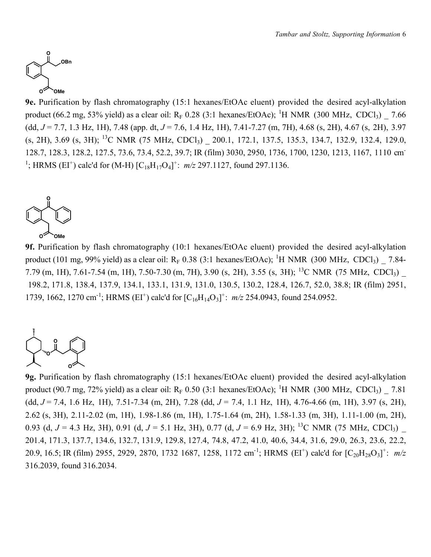

9e. Purification by flash chromatography (15:1 hexanes/EtOAc eluent) provided the desired acyl-alkylation product (66.2 mg, 53% yield) as a clear oil:  $R_F$  0.28 (3:1 hexanes/EtOAc); <sup>1</sup>H NMR (300 MHz, CDCl<sub>3</sub>)  $\_$  7.66 (dd, *J* = 7.7, 1.3 Hz, 1H), 7.48 (app. dt, *J* = 7.6, 1.4 Hz, 1H), 7.41-7.27 (m, 7H), 4.68 (s, 2H), 4.67 (s, 2H), 3.97 (s, 2H), 3.69 (s, 3H); 13C NMR (75 MHz, CDCl3) \_ 200.1, 172.1, 137.5, 135.3, 134.7, 132.9, 132.4, 129.0, 128.7, 128.3, 128.2, 127.5, 73.6, 73.4, 52.2, 39.7; IR (film) 3030, 2950, 1736, 1700, 1230, 1213, 1167, 1110 cm-<sup>1</sup>; HRMS (EI<sup>+</sup>) calc'd for (M-H)  $[C_{18}H_{17}O_4]^+$ :  $m/z$  297.1127, found 297.1136.



9f. Purification by flash chromatography (10:1 hexanes/EtOAc eluent) provided the desired acyl-alkylation product (101 mg, 99% yield) as a clear oil:  $R_F$  0.38 (3:1 hexanes/EtOAc); <sup>1</sup>H NMR (300 MHz, CDCl<sub>3</sub>)  $\_$  7.84-7.79 (m, 1H), 7.61-7.54 (m, 1H), 7.50-7.30 (m, 7H), 3.90 (s, 2H), 3.55 (s, 3H); 13C NMR (75 MHz, CDCl3) \_ 198.2, 171.8, 138.4, 137.9, 134.1, 133.1, 131.9, 131.0, 130.5, 130.2, 128.4, 126.7, 52.0, 38.8; IR (film) 2951, 1739, 1662, 1270 cm<sup>-1</sup>; HRMS (EI<sup>+</sup>) calc'd for  $[C_{16}H_{14}O_3]^+$ :  $m/z$  254.0943, found 254.0952.



9g. Purification by flash chromatography (15:1 hexanes/EtOAc eluent) provided the desired acyl-alkylation product (90.7 mg, 72% yield) as a clear oil:  $R_F$  0.50 (3:1 hexanes/EtOAc); <sup>1</sup>H NMR (300 MHz, CDCl<sub>3</sub>)  $\_$  7.81 (dd, *J* = 7.4, 1.6 Hz, 1H), 7.51-7.34 (m, 2H), 7.28 (dd, *J* = 7.4, 1.1 Hz, 1H), 4.76-4.66 (m, 1H), 3.97 (s, 2H), 2.62 (s, 3H), 2.11-2.02 (m, 1H), 1.98-1.86 (m, 1H), 1.75-1.64 (m, 2H), 1.58-1.33 (m, 3H), 1.11-1.00 (m, 2H), 0.93 (d,  $J = 4.3$  Hz, 3H), 0.91 (d,  $J = 5.1$  Hz, 3H), 0.77 (d,  $J = 6.9$  Hz, 3H); <sup>13</sup>C NMR (75 MHz, CDCl<sub>3</sub>) 201.4, 171.3, 137.7, 134.6, 132.7, 131.9, 129.8, 127.4, 74.8, 47.2, 41.0, 40.6, 34.4, 31.6, 29.0, 26.3, 23.6, 22.2, 20.9, 16.5; IR (film) 2955, 2929, 2870, 1732 1687, 1258, 1172 cm<sup>-1</sup>; HRMS (EI<sup>+</sup>) calc'd for  $[C_{20}H_{28}O_3]$ <sup>+</sup>:  $m/z$ 316.2039, found 316.2034.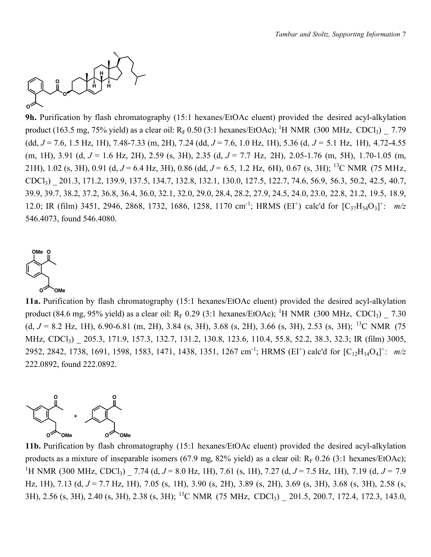

9h. Purification by flash chromatography (15:1 hexanes/EtOAc eluent) provided the desired acyl-alkylation product (163.5 mg, 75% yield) as a clear oil:  $R_F$  0.50 (3:1 hexanes/EtOAc); <sup>1</sup>H NMR (300 MHz, CDCl<sub>3</sub>)  $\_$  7.79 (dd, *J* = 7.6, 1.5 Hz, 1H), 7.48-7.33 (m, 2H), 7.24 (dd, *J* = 7.6, 1.0 Hz, 1H), 5.36 (d, *J* = 5.1 Hz, 1H), 4.72-4.55 (m, 1H), 3.91 (d, *J* = 1.6 Hz, 2H), 2.59 (s, 3H), 2.35 (d, *J* = 7.7 Hz, 2H), 2.05-1.76 (m, 5H), 1.70-1.05 (m, 21H), 1.02 (s, 3H), 0.91 (d, *J* = 6.4 Hz, 3H), 0.86 (dd, *J* = 6.5, 1.2 Hz, 6H), 0.67 (s, 3H); 13C NMR (75 MHz, CDCl3) \_ 201.3, 171.2, 139.9, 137.5, 134.7, 132.8, 132.1, 130.0, 127.5, 122.7, 74.6, 56.9, 56.3, 50.2, 42.5, 40.7, 39.9, 39.7, 38.2, 37.2, 36.8, 36.4, 36.0, 32.1, 32.0, 29.0, 28.4, 28.2, 27.9, 24.5, 24.0, 23.0, 22.8, 21.2, 19.5, 18.9, 12.0; IR (film) 3451, 2946, 2868, 1732, 1686, 1258, 1170 cm<sup>-1</sup>; HRMS (EI<sup>+</sup>) calc'd for  $[C_{37}H_{54}O_3]^+$ :  $m/z$ 546.4073, found 546.4080.



11a. Purification by flash chromatography (15:1 hexanes/EtOAc eluent) provided the desired acyl-alkylation product (84.6 mg, 95% yield) as a clear oil:  $R_F$  0.29 (3:1 hexanes/EtOAc); <sup>1</sup>H NMR (300 MHz, CDCl<sub>3</sub>)  $\_$  7.30 (d,  $J = 8.2$  Hz, 1H), 6.90-6.81 (m, 2H), 3.84 (s, 3H), 3.68 (s, 2H), 3.66 (s, 3H), 2.53 (s, 3H); <sup>13</sup>C NMR (75 MHz, CDCl<sub>3</sub>) 205.3, 171.9, 157.3, 132.7, 131.2, 130.8, 123.6, 110.4, 55.8, 52.2, 38.3, 32.3; IR (film) 3005, 2952, 2842, 1738, 1691, 1598, 1583, 1471, 1438, 1351, 1267 cm<sup>-1</sup>; HRMS (EI<sup>+</sup>) calc'd for [C<sub>12</sub>H<sub>14</sub>O<sub>4</sub>]<sup>+</sup>: m/z 222.0892, found 222.0892.



11b. Purification by flash chromatography (15:1 hexanes/EtOAc eluent) provided the desired acyl-alkylation products as a mixture of inseparable isomers (67.9 mg, 82% yield) as a clear oil:  $R_F$  0.26 (3:1 hexanes/EtOAc); 1 H NMR (300 MHz, CDCl3) \_ 7.74 (d, *J* = 8.0 Hz, 1H), 7.61 (s, 1H), 7.27 (d, *J* = 7.5 Hz, 1H), 7.19 (d, *J* = 7.9 Hz, 1H), 7.13 (d, *J* = 7.7 Hz, 1H), 7.05 (s, 1H), 3.90 (s, 2H), 3.89 (s, 2H), 3.69 (s, 3H), 3.68 (s, 3H), 2.58 (s, 3H), 2.56 (s, 3H), 2.40 (s, 3H), 2.38 (s, 3H); <sup>13</sup>C NMR (75 MHz, CDCl<sub>3</sub>) 201.5, 200.7, 172.4, 172.3, 143.0,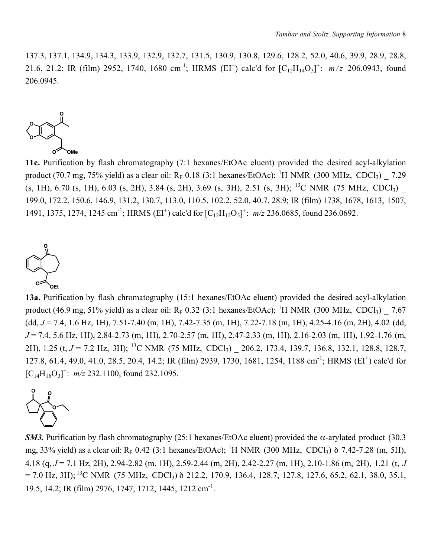137.3, 137.1, 134.9, 134.3, 133.9, 132.9, 132.7, 131.5, 130.9, 130.8, 129.6, 128.2, 52.0, 40.6, 39.9, 28.9, 28.8, 21.6, 21.2; IR (film) 2952, 1740, 1680 cm<sup>-1</sup>; HRMS (EI<sup>+</sup>) calc'd for  $[C_{12}H_{14}O_3]^+$ :  $m/z$  206.0943, found 206.0945.



11c. Purification by flash chromatography (7:1 hexanes/EtOAc eluent) provided the desired acyl-alkylation product (70.7 mg, 75% yield) as a clear oil:  $R_F$  0.18 (3:1 hexanes/EtOAc); <sup>1</sup>H NMR (300 MHz, CDCl<sub>3</sub>)  $\_$  7.29  $(s, 1H), 6.70$   $(s, 1H), 6.03$   $(s, 2H), 3.84$   $(s, 2H), 3.69$   $(s, 3H), 2.51$   $(s, 3H);$  <sup>13</sup>C NMR (75 MHz, CDCl<sub>3</sub>) 199.0, 172.2, 150.6, 146.9, 131.2, 130.7, 113.0, 110.5, 102.2, 52.0, 40.7, 28.9; IR (film) 1738, 1678, 1613, 1507, 1491, 1375, 1274, 1245 cm<sup>-1</sup>; HRMS (EI<sup>+</sup>) calc'd for  $[C_{12}H_{12}O_5]^+$ :  $m/z$  236.0685, found 236.0692.



13a. Purification by flash chromatography (15:1 hexanes/EtOAc eluent) provided the desired acyl-alkylation product (46.9 mg, 51% yield) as a clear oil:  $R_F$  0.32 (3:1 hexanes/EtOAc); <sup>1</sup>H NMR (300 MHz, CDCl<sub>3</sub>)  $\_$  7.67 (dd, *J* = 7.4, 1.6 Hz, 1H), 7.51-7.40 (m, 1H), 7.42-7.35 (m, 1H), 7.22-7.18 (m, 1H), 4.25-4.16 (m, 2H), 4.02 (dd, *J* = 7.4, 5.6 Hz, 1H), 2.84-2.73 (m, 1H), 2.70-2.57 (m, 1H), 2.47-2.33 (m, 1H), 2.16-2.03 (m, 1H), 1.92-1.76 (m, 2H), 1.25 (t, *J* = 7.2 Hz, 3H); <sup>13</sup>C NMR (75 MHz, CDCl<sub>3</sub>) 206.2, 173.4, 139.7, 136.8, 132.1, 128.8, 128.7, 127.8, 61.4, 49.0, 41.0, 28.5, 20.4, 14.2; IR (film) 2939, 1730, 1681, 1254, 1188 cm-1; HRMS (EI+) calc'd for  $[C_{14}H_{16}O_3]^+$ :  $m/z$  232.1100, found 232.1095.



*SM3.* Purification by flash chromatography (25:1 hexanes/EtOAc eluent) provided the  $\alpha$ -arylated product (30.3 mg, 33% yield) as a clear oil:  $R_F$  0.42 (3:1 hexanes/EtOAc); <sup>1</sup>H NMR (300 MHz, CDCl<sub>3</sub>)  $\delta$  7.42-7.28 (m, 5H), 4.18 (q, *J* = 7.1 Hz, 2H), 2.94-2.82 (m, 1H), 2.59-2.44 (m, 2H), 2.42-2.27 (m, 1H), 2.10-1.86 (m, 2H), 1.21 (t, *J*  $= 7.0$  Hz, 3H); <sup>13</sup>C NMR (75 MHz, CDCl<sub>3</sub>) δ 212.2, 170.9, 136.4, 128.7, 127.8, 127.6, 65.2, 62.1, 38.0, 35.1, 19.5, 14.2; IR (film) 2976, 1747, 1712, 1445, 1212 cm-1.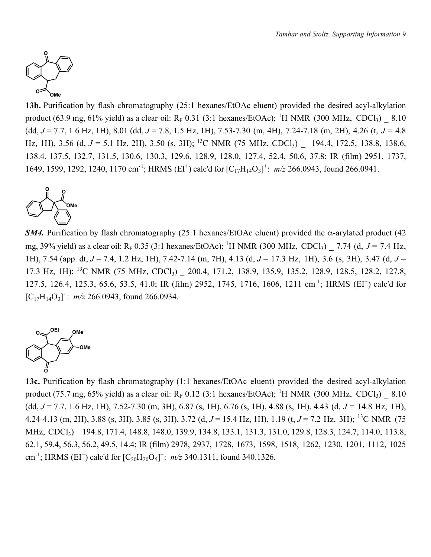

13b. Purification by flash chromatography (25:1 hexanes/EtOAc eluent) provided the desired acyl-alkylation product (63.9 mg, 61% yield) as a clear oil:  $R_F$  0.31 (3:1 hexanes/EtOAc); <sup>1</sup>H NMR (300 MHz, CDCl<sub>3</sub>)  $\_$  8.10 (dd, *J* = 7.7, 1.6 Hz, 1H), 8.01 (dd, *J* = 7.8, 1.5 Hz, 1H), 7.53-7.30 (m, 4H), 7.24-7.18 (m, 2H), 4.26 (t, *J* = 4.8 Hz, 1H), 3.56 (d,  $J = 5.1$  Hz, 2H), 3.50 (s, 3H); <sup>13</sup>C NMR (75 MHz, CDCl<sub>3</sub>)  $-$  194.4, 172.5, 138.8, 138.6, 138.4, 137.5, 132.7, 131.5, 130.6, 130.3, 129.6, 128.9, 128.0, 127.4, 52.4, 50.6, 37.8; IR (film) 2951, 1737, 1649, 1599, 1292, 1240, 1170 cm<sup>-1</sup>; HRMS (EI<sup>+</sup>) calc'd for  $[C_{17}H_{14}O_3]^+$ : *m/z* 266.0943, found 266.0941.



*SM4*. Purification by flash chromatography (25:1 hexanes/EtOAc eluent) provided the  $\alpha$ -arylated product (42 mg, 39% yield) as a clear oil:  $R_F$  0.35 (3:1 hexanes/EtOAc); <sup>1</sup>H NMR (300 MHz, CDCl<sub>3</sub>)  $\_$  7.74 (d, *J* = 7.4 Hz, 1H), 7.54 (app. dt, *J* = 7.4, 1.2 Hz, 1H), 7.42-7.14 (m, 7H), 4.13 (d, *J* = 17.3 Hz, 1H), 3.6 (s, 3H), 3.47 (d, *J* = 17.3 Hz, 1H); <sup>13</sup>C NMR (75 MHz, CDCl<sub>3</sub>) 200.4, 171.2, 138.9, 135.9, 135.2, 128.9, 128.5, 128.2, 127.8, 127.5, 126.4, 125.3, 65.6, 53.5, 41.0; IR (film) 2952, 1745, 1716, 1606, 1211 cm-1; HRMS (EI+) calc'd for  $[C_{17}H_{14}O_3]^+$ :  $m/z$  266.0943, found 266.0934.



13c. Purification by flash chromatography (1:1 hexanes/EtOAc eluent) provided the desired acyl-alkylation product (75.7 mg, 65% yield) as a clear oil:  $R_F$  0.12 (3:1 hexanes/EtOAc); <sup>1</sup>H NMR (300 MHz, CDCl<sub>3</sub>)  $\_$  8.10 (dd, *J* = 7.7, 1.6 Hz, 1H), 7.52-7.30 (m, 3H), 6.87 (s, 1H), 6.76 (s, 1H), 4.88 (s, 1H), 4.43 (d, *J* = 14.8 Hz, 1H), 4.24-4.13 (m, 2H), 3.88 (s, 3H), 3.85 (s, 3H), 3.72 (d, *J* = 15.4 Hz, 1H), 1.19 (t, *J* = 7.2 Hz, 3H); 13C NMR (75 MHz, CDCl<sub>3</sub>) 194.8, 171.4, 148.8, 148.0, 139.9, 134.8, 133.1, 131.3, 131.0, 129.8, 128.3, 124.7, 114.0, 113.8, 62.1, 59.4, 56.3, 56.2, 49.5, 14.4; IR (film) 2978, 2937, 1728, 1673, 1598, 1518, 1262, 1230, 1201, 1112, 1025 cm<sup>-1</sup>; HRMS (EI<sup>+</sup>) calc'd for  $[C_{20}H_{20}O_5]^+$ :  $m/z$  340.1311, found 340.1326.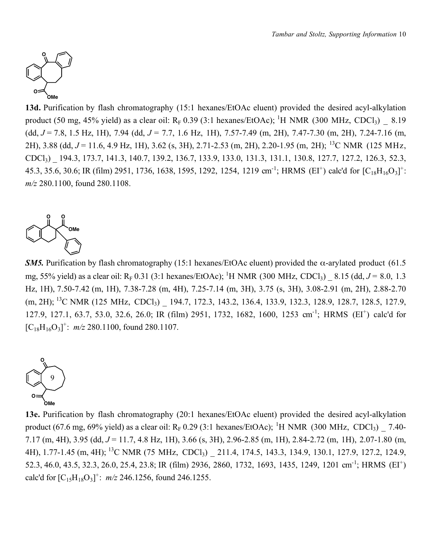

13d. Purification by flash chromatography (15:1 hexanes/EtOAc eluent) provided the desired acyl-alkylation product (50 mg, 45% yield) as a clear oil:  $R_F$  0.39 (3:1 hexanes/EtOAc); <sup>1</sup>H NMR (300 MHz, CDCl<sub>3</sub>)  $\_$  8.19 (dd, *J* = 7.8, 1.5 Hz, 1H), 7.94 (dd, *J* = 7.7, 1.6 Hz, 1H), 7.57-7.49 (m, 2H), 7.47-7.30 (m, 2H), 7.24-7.16 (m, 2H), 3.88 (dd, *J* = 11.6, 4.9 Hz, 1H), 3.62 (s, 3H), 2.71-2.53 (m, 2H), 2.20-1.95 (m, 2H); 13C NMR (125 MHz, CDCl3) \_ 194.3, 173.7, 141.3, 140.7, 139.2, 136.7, 133.9, 133.0, 131.3, 131.1, 130.8, 127.7, 127.2, 126.3, 52.3, 45.3, 35.6, 30.6; IR (film) 2951, 1736, 1638, 1595, 1292, 1254, 1219 cm<sup>-1</sup>; HRMS (EI<sup>+</sup>) calc'd for [C<sub>18</sub>H<sub>16</sub>O<sub>3</sub>]<sup>+</sup>: *m/z* 280.1100, found 280.1108.



*SM5.* Purification by flash chromatography (15:1 hexanes/EtOAc eluent) provided the  $\alpha$ -arylated product (61.5) mg, 55% yield) as a clear oil: R<sub>F</sub> 0.31 (3:1 hexanes/EtOAc); <sup>1</sup>H NMR (300 MHz, CDCl<sub>3</sub>) \_ 8.15 (dd, *J* = 8.0, 1.3 Hz, 1H), 7.50-7.42 (m, 1H), 7.38-7.28 (m, 4H), 7.25-7.14 (m, 3H), 3.75 (s, 3H), 3.08-2.91 (m, 2H), 2.88-2.70 (m, 2H); <sup>13</sup>C NMR (125 MHz, CDCl<sub>3</sub>) 194.7, 172.3, 143.2, 136.4, 133.9, 132.3, 128.9, 128.7, 128.5, 127.9, 127.9, 127.1, 63.7, 53.0, 32.6, 26.0; IR (film) 2951, 1732, 1682, 1600, 1253 cm-1; HRMS (EI+) calc'd for  $[C_{18}H_{16}O_3]^+$ :  $m/z$  280.1100, found 280.1107.



13e. Purification by flash chromatography (20:1 hexanes/EtOAc eluent) provided the desired acyl-alkylation product (67.6 mg, 69% yield) as a clear oil:  $R_F 0.29$  (3:1 hexanes/EtOAc); <sup>1</sup>H NMR (300 MHz, CDCl<sub>3</sub>)  $\_$  7.40-7.17 (m, 4H), 3.95 (dd, *J* = 11.7, 4.8 Hz, 1H), 3.66 (s, 3H), 2.96-2.85 (m, 1H), 2.84-2.72 (m, 1H), 2.07-1.80 (m, 4H), 1.77-1.45 (m, 4H); <sup>13</sup>C NMR (75 MHz, CDCl<sub>3</sub>) 211.4, 174.5, 143.3, 134.9, 130.1, 127.9, 127.2, 124.9, 52.3, 46.0, 43.5, 32.3, 26.0, 25.4, 23.8; IR (film) 2936, 2860, 1732, 1693, 1435, 1249, 1201 cm-1; HRMS (EI+) calc'd for  $[C_{15}H_{18}O_3]^+$ :  $m/z$  246.1256, found 246.1255.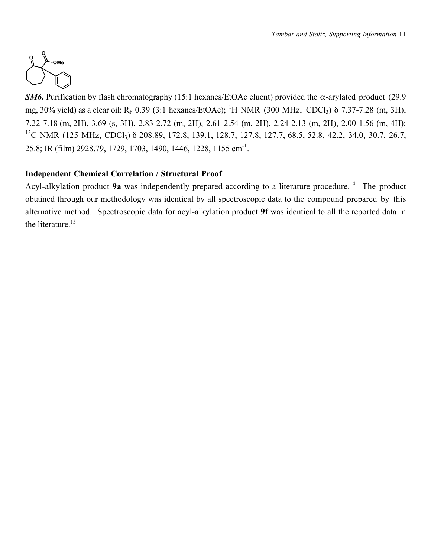

*SM6.* Purification by flash chromatography (15:1 hexanes/EtOAc eluent) provided the  $\alpha$ -arylated product (29.9) mg, 30% yield) as a clear oil:  $R_F$  0.39 (3:1 hexanes/EtOAc); <sup>1</sup>H NMR (300 MHz, CDCl<sub>3</sub>)  $\delta$  7.37-7.28 (m, 3H), 7.22-7.18 (m, 2H), 3.69 (s, 3H), 2.83-2.72 (m, 2H), 2.61-2.54 (m, 2H), 2.24-2.13 (m, 2H), 2.00-1.56 (m, 4H); <sup>13</sup>C NMR (125 MHz, CDCl<sub>3</sub>) δ 208.89, 172.8, 139.1, 128.7, 127.8, 127.7, 68.5, 52.8, 42.2, 34.0, 30.7, 26.7, 25.8; IR (film) 2928.79, 1729, 1703, 1490, 1446, 1228, 1155 cm-1.

# Independent Chemical Correlation / Structural Proof

Acyl-alkylation product 9a was independently prepared according to a literature procedure.<sup>14</sup> The product obtained through our methodology was identical by all spectroscopic data to the compound prepared by this alternative method. Spectroscopic data for acyl-alkylation product 9f was identical to all the reported data in the literature.<sup>15</sup>